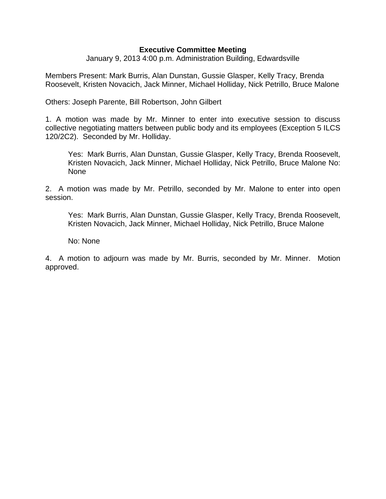## **Executive Committee Meeting**

January 9, 2013 4:00 p.m. Administration Building, Edwardsville

Members Present: Mark Burris, Alan Dunstan, Gussie Glasper, Kelly Tracy, Brenda Roosevelt, Kristen Novacich, Jack Minner, Michael Holliday, Nick Petrillo, Bruce Malone

Others: Joseph Parente, Bill Robertson, John Gilbert

1. A motion was made by Mr. Minner to enter into executive session to discuss collective negotiating matters between public body and its employees (Exception 5 ILCS 120/2C2). Seconded by Mr. Holliday.

Yes: Mark Burris, Alan Dunstan, Gussie Glasper, Kelly Tracy, Brenda Roosevelt, Kristen Novacich, Jack Minner, Michael Holliday, Nick Petrillo, Bruce Malone No: None

2. A motion was made by Mr. Petrillo, seconded by Mr. Malone to enter into open session.

Yes: Mark Burris, Alan Dunstan, Gussie Glasper, Kelly Tracy, Brenda Roosevelt, Kristen Novacich, Jack Minner, Michael Holliday, Nick Petrillo, Bruce Malone

No: None

4. A motion to adjourn was made by Mr. Burris, seconded by Mr. Minner. Motion approved.